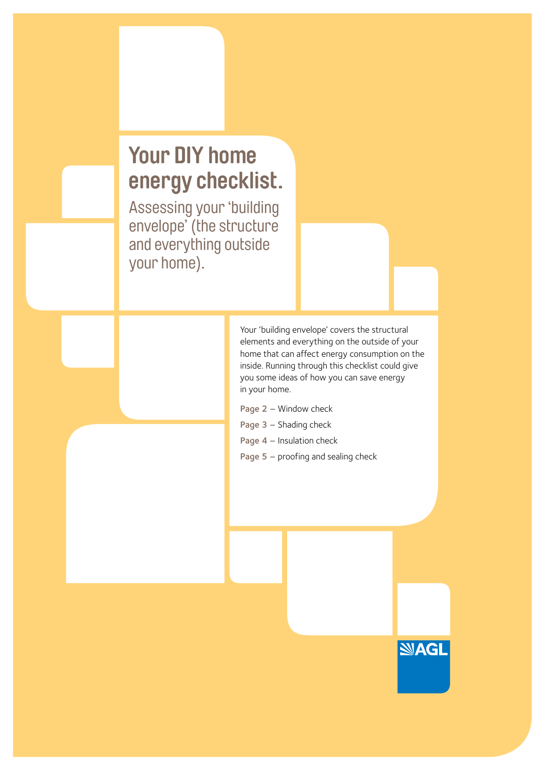## **Your DIY home energy checklist.**

Assessing your 'building envelope' (the structure and everything outside your home).

> Your 'building envelope' covers the structural elements and everything on the outside of your home that can affect energy consumption on the inside. Running through this checklist could give you some ideas of how you can save energy in your home.

> > **SAGL**

- Page 2 Window check
- Page 3 Shading check
- Page 4 Insulation check
- Page 5 proofing and sealing check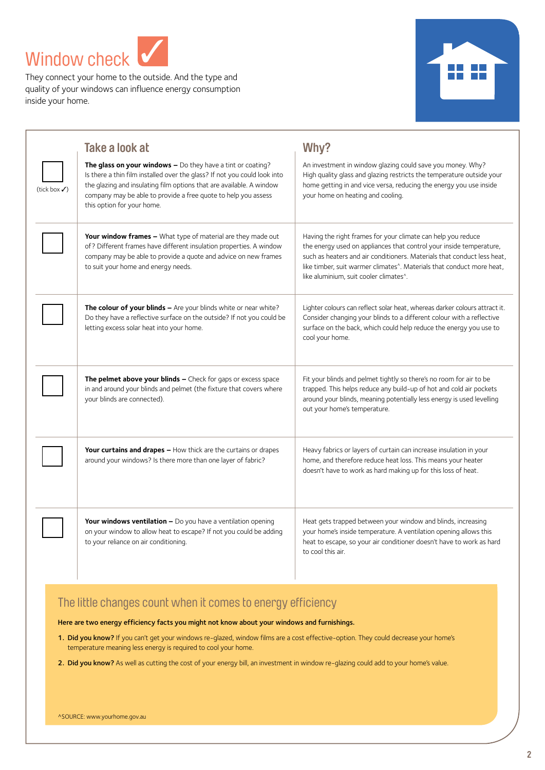Window check ✓

They connect your home to the outside. And the type and quality of your windows can influence energy consumption inside your home.



|             | Take a look at                                                                                                                                                                                                                                                                                                     | Why?                                                                                                                                                                                                                                                                                                                                                        |
|-------------|--------------------------------------------------------------------------------------------------------------------------------------------------------------------------------------------------------------------------------------------------------------------------------------------------------------------|-------------------------------------------------------------------------------------------------------------------------------------------------------------------------------------------------------------------------------------------------------------------------------------------------------------------------------------------------------------|
| (tick box√) | The glass on your windows $-$ Do they have a tint or coating?<br>Is there a thin film installed over the glass? If not you could look into<br>the glazing and insulating film options that are available. A window<br>company may be able to provide a free quote to help you assess<br>this option for your home. | An investment in window glazing could save you money. Why?<br>High quality glass and glazing restricts the temperature outside your<br>home getting in and vice versa, reducing the energy you use inside<br>your home on heating and cooling.                                                                                                              |
|             | Your window frames - What type of material are they made out<br>of? Different frames have different insulation properties. A window<br>company may be able to provide a quote and advice on new frames<br>to suit your home and energy needs.                                                                      | Having the right frames for your climate can help you reduce<br>the energy used on appliances that control your inside temperature,<br>such as heaters and air conditioners. Materials that conduct less heat,<br>like timber, suit warmer climates <sup>8</sup> . Materials that conduct more heat.<br>like aluminium, suit cooler climates <sup>^</sup> . |
|             | The colour of your blinds - Are your blinds white or near white?<br>Do they have a reflective surface on the outside? If not you could be<br>letting excess solar heat into your home.                                                                                                                             | Lighter colours can reflect solar heat, whereas darker colours attract it.<br>Consider changing your blinds to a different colour with a reflective<br>surface on the back, which could help reduce the energy you use to<br>cool your home.                                                                                                                |
|             | The pelmet above your blinds - Check for gaps or excess space<br>in and around your blinds and pelmet (the fixture that covers where<br>your blinds are connected).                                                                                                                                                | Fit your blinds and pelmet tightly so there's no room for air to be<br>trapped. This helps reduce any build-up of hot and cold air pockets<br>around your blinds, meaning potentially less energy is used levelling<br>out your home's temperature.                                                                                                         |
|             | <b>Your curtains and drapes –</b> How thick are the curtains or drapes<br>around your windows? Is there more than one layer of fabric?                                                                                                                                                                             | Heavy fabrics or layers of curtain can increase insulation in your<br>home, and therefore reduce heat loss. This means your heater<br>doesn't have to work as hard making up for this loss of heat.                                                                                                                                                         |
|             | Your windows ventilation - Do you have a ventilation opening<br>on your window to allow heat to escape? If not you could be adding<br>to your reliance on air conditioning.                                                                                                                                        | Heat gets trapped between your window and blinds, increasing<br>your home's inside temperature. A ventilation opening allows this<br>heat to escape, so your air conditioner doesn't have to work as hard<br>to cool this air.                                                                                                                              |

### The little changes count when it comes to energy efficiency

Here are two energy efficiency facts you might not know about your windows and furnishings.

- 1. Did you know? If you can't get your windows re-glazed, window films are a cost effective-option. They could decrease your home's temperature meaning less energy is required to cool your home. They could decrease is a control of the control
- 2. Did you know? As well as cutting the cost of your energy bill, an investment in window re-glazing could add to your home's value.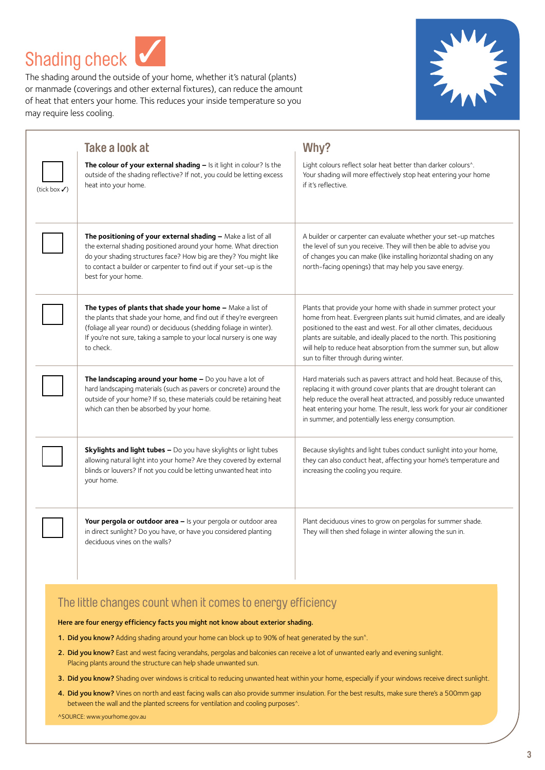Shading check ✓

The shading around the outside of your home, whether it's natural (plants) or manmade (coverings and other external fixtures), can reduce the amount of heat that enters your home. This reduces your inside temperature so you may require less cooling.



|                          | Take a look at                                                                                                                                                                                                                                                                                       | Why?                                                                                                                                                                                                                                                                                                                                                                                                   |
|--------------------------|------------------------------------------------------------------------------------------------------------------------------------------------------------------------------------------------------------------------------------------------------------------------------------------------------|--------------------------------------------------------------------------------------------------------------------------------------------------------------------------------------------------------------------------------------------------------------------------------------------------------------------------------------------------------------------------------------------------------|
| (tick box $\checkmark$ ) | The colour of your external shading - Is it light in colour? Is the<br>outside of the shading reflective? If not, you could be letting excess<br>heat into your home.                                                                                                                                | Light colours reflect solar heat better than darker colours^.<br>Your shading will more effectively stop heat entering your home<br>if it's reflective.                                                                                                                                                                                                                                                |
|                          | The positioning of your external shading - Make a list of all<br>the external shading positioned around your home. What direction<br>do your shading structures face? How big are they? You might like<br>to contact a builder or carpenter to find out if your set-up is the<br>best for your home. | A builder or carpenter can evaluate whether your set-up matches<br>the level of sun you receive. They will then be able to advise you<br>of changes you can make (like installing horizontal shading on any<br>north-facing openings) that may help you save energy.                                                                                                                                   |
|                          | The types of plants that shade your home - Make a list of<br>the plants that shade your home, and find out if they're evergreen<br>(foliage all year round) or deciduous (shedding foliage in winter).<br>If you're not sure, taking a sample to your local nursery is one way<br>to check.          | Plants that provide your home with shade in summer protect your<br>home from heat. Evergreen plants suit humid climates, and are ideally<br>positioned to the east and west. For all other climates, deciduous<br>plants are suitable, and ideally placed to the north. This positioning<br>will help to reduce heat absorption from the summer sun, but allow<br>sun to filter through during winter. |
|                          | The landscaping around your home - Do you have a lot of<br>hard landscaping materials (such as pavers or concrete) around the<br>outside of your home? If so, these materials could be retaining heat<br>which can then be absorbed by your home.                                                    | Hard materials such as pavers attract and hold heat. Because of this,<br>replacing it with ground cover plants that are drought tolerant can<br>help reduce the overall heat attracted, and possibly reduce unwanted<br>heat entering your home. The result, less work for your air conditioner<br>in summer, and potentially less energy consumption.                                                 |
|                          | <b>Skylights and light tubes -</b> Do you have skylights or light tubes<br>allowing natural light into your home? Are they covered by external<br>blinds or louvers? If not you could be letting unwanted heat into<br>your home.                                                                    | Because skylights and light tubes conduct sunlight into your home,<br>they can also conduct heat, affecting your home's temperature and<br>increasing the cooling you require.                                                                                                                                                                                                                         |
|                          | Your pergola or outdoor area - Is your pergola or outdoor area<br>in direct sunlight? Do you have, or have you considered planting<br>deciduous vines on the walls?                                                                                                                                  | Plant deciduous vines to grow on pergolas for summer shade.<br>They will then shed foliage in winter allowing the sun in.                                                                                                                                                                                                                                                                              |

### The little changes count when it comes to energy efficiency

Here are four energy efficiency facts you might not know about exterior shading.

- 1. Did you know? Adding shading around your home can block up to 90% of heat generated by the sun^.
- 2. Did you know? East and west facing verandahs, pergolas and balconies can receive a lot of unwanted early and evening sunlight. Placing plants around the structure can help shade unwanted sun.
- 3. Did you know? Shading over windows is critical to reducing unwanted heat within your home, especially if your windows receive direct sunlight.
- 4. Did you know? Vines on north and east facing walls can also provide summer insulation. For the best results, make sure there's a 500mm gap between the wall and the planted screens for ventilation and cooling purposes^.

^SOURCE: www.yourhome.gov.au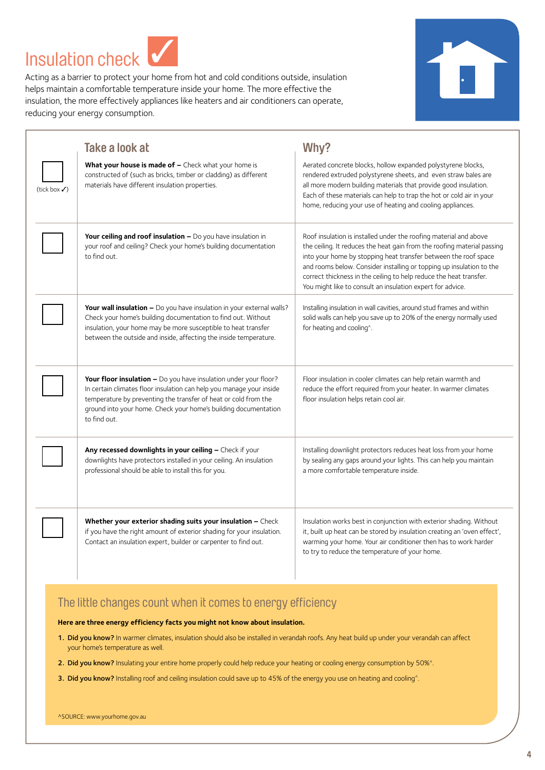Insulation check ✓

Acting as a barrier to protect your home from hot and cold conditions outside, insulation helps maintain a comfortable temperature inside your home. The more effective the insulation, the more effectively appliances like heaters and air conditioners can operate, reducing your energy consumption.



|                          | Take a look at                                                                                                                                                                                                                                                                                 | Why?                                                                                                                                                                                                                                                                                                                                                                                                                        |
|--------------------------|------------------------------------------------------------------------------------------------------------------------------------------------------------------------------------------------------------------------------------------------------------------------------------------------|-----------------------------------------------------------------------------------------------------------------------------------------------------------------------------------------------------------------------------------------------------------------------------------------------------------------------------------------------------------------------------------------------------------------------------|
| (tick box $\checkmark$ ) | What your house is made of - Check what your home is<br>constructed of (such as bricks, timber or cladding) as different<br>materials have different insulation properties.                                                                                                                    | Aerated concrete blocks, hollow expanded polystyrene blocks,<br>rendered extruded polystyrene sheets, and even straw bales are<br>all more modern building materials that provide good insulation.<br>Each of these materials can help to trap the hot or cold air in your<br>home, reducing your use of heating and cooling appliances.                                                                                    |
|                          | <b>Your ceiling and roof insulation –</b> Do you have insulation in<br>your roof and ceiling? Check your home's building documentation<br>to find out.                                                                                                                                         | Roof insulation is installed under the roofing material and above<br>the ceiling. It reduces the heat gain from the roofing material passing<br>into your home by stopping heat transfer between the roof space<br>and rooms below. Consider installing or topping up insulation to the<br>correct thickness in the ceiling to help reduce the heat transfer.<br>You might like to consult an insulation expert for advice. |
|                          | Your wall insulation - Do you have insulation in your external walls?<br>Check your home's building documentation to find out. Without<br>insulation, your home may be more susceptible to heat transfer<br>between the outside and inside, affecting the inside temperature.                  | Installing insulation in wall cavities, around stud frames and within<br>solid walls can help you save up to 20% of the energy normally used<br>for heating and cooling <sup>^</sup> .                                                                                                                                                                                                                                      |
|                          | Your floor insulation - Do you have insulation under your floor?<br>In certain climates floor insulation can help you manage your inside<br>temperature by preventing the transfer of heat or cold from the<br>ground into your home. Check your home's building documentation<br>to find out. | Floor insulation in cooler climates can help retain warmth and<br>reduce the effort required from your heater. In warmer climates<br>floor insulation helps retain cool air.                                                                                                                                                                                                                                                |
|                          | Any recessed downlights in your ceiling - Check if your<br>downlights have protectors installed in your ceiling. An insulation<br>professional should be able to install this for you.                                                                                                         | Installing downlight protectors reduces heat loss from your home<br>by sealing any gaps around your lights. This can help you maintain<br>a more comfortable temperature inside.                                                                                                                                                                                                                                            |
|                          | Whether your exterior shading suits your insulation - Check<br>if you have the right amount of exterior shading for your insulation.<br>Contact an insulation expert, builder or carpenter to find out.                                                                                        | Insulation works best in conjunction with exterior shading. Without<br>it, built up heat can be stored by insulation creating an 'oven effect',<br>warming your home. Your air conditioner then has to work harder<br>to try to reduce the temperature of your home.                                                                                                                                                        |

### The little changes count when it comes to energy efficiency

**Here are three energy efficiency facts you might not know about insulation.** 

- 1. Did you know? In warmer climates, insulation should also be installed in verandah roofs. Any heat build up under your verandah can affect your home's temperature as well.
- 2. Did you know? Insulating your entire home properly could help reduce your heating or cooling energy consumption by 50%^.
- 3. Did you know? Installing roof and ceiling insulation could save up to 45% of the energy you use on heating and cooling^.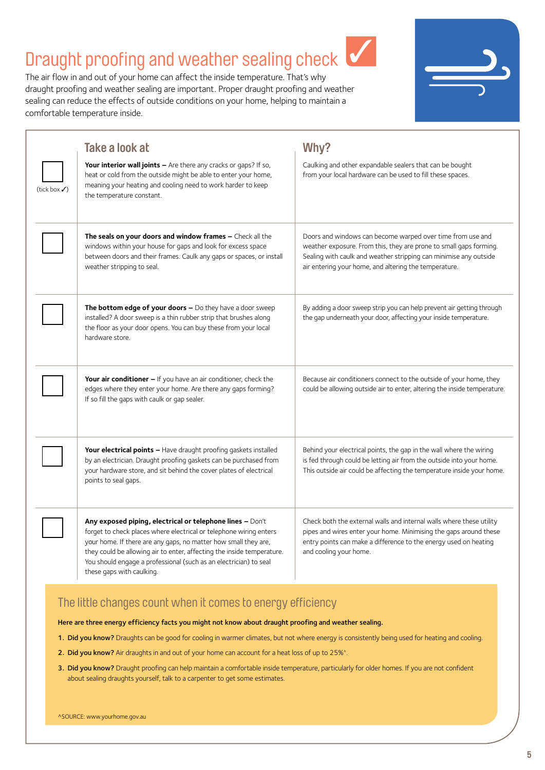### Draught proofing and weather sealing check

The air flow in and out of your home can affect the inside temperature. That's why draught proofing and weather sealing are important. Proper draught proofing and weather sealing can reduce the effects of outside conditions on your home, helping to maintain a comfortable temperature inside.



✓

|             | Take a look at                                                                                                                                                                                                                                                                                                                                                                 | Why?                                                                                                                                                                                                                                                           |
|-------------|--------------------------------------------------------------------------------------------------------------------------------------------------------------------------------------------------------------------------------------------------------------------------------------------------------------------------------------------------------------------------------|----------------------------------------------------------------------------------------------------------------------------------------------------------------------------------------------------------------------------------------------------------------|
| (tick box√) | Your interior wall joints - Are there any cracks or gaps? If so,<br>heat or cold from the outside might be able to enter your home,<br>meaning your heating and cooling need to work harder to keep<br>the temperature constant.                                                                                                                                               | Caulking and other expandable sealers that can be bought<br>from your local hardware can be used to fill these spaces.                                                                                                                                         |
|             | The seals on your doors and window frames - Check all the<br>windows within your house for gaps and look for excess space<br>between doors and their frames. Caulk any gaps or spaces, or install<br>weather stripping to seal.                                                                                                                                                | Doors and windows can become warped over time from use and<br>weather exposure. From this, they are prone to small gaps forming.<br>Sealing with caulk and weather stripping can minimise any outside<br>air entering your home, and altering the temperature. |
|             | The bottom edge of your doors - Do they have a door sweep<br>installed? A door sweep is a thin rubber strip that brushes along<br>the floor as your door opens. You can buy these from your local<br>hardware store.                                                                                                                                                           | By adding a door sweep strip you can help prevent air getting through<br>the gap underneath your door, affecting your inside temperature.                                                                                                                      |
|             | Your air conditioner - If you have an air conditioner, check the<br>edges where they enter your home. Are there any gaps forming?<br>If so fill the gaps with caulk or gap sealer.                                                                                                                                                                                             | Because air conditioners connect to the outside of your home, they<br>could be allowing outside air to enter, altering the inside temperature.                                                                                                                 |
|             | Your electrical points - Have draught proofing gaskets installed<br>by an electrician. Draught proofing gaskets can be purchased from<br>your hardware store, and sit behind the cover plates of electrical<br>points to seal gaps.                                                                                                                                            | Behind your electrical points, the gap in the wall where the wiring<br>is fed through could be letting air from the outside into your home.<br>This outside air could be affecting the temperature inside your home.                                           |
|             | Any exposed piping, electrical or telephone lines - Don't<br>forget to check places where electrical or telephone wiring enters<br>your home. If there are any gaps, no matter how small they are,<br>they could be allowing air to enter, affecting the inside temperature.<br>You should engage a professional (such as an electrician) to seal<br>these gaps with caulking. | Check both the external walls and internal walls where these utility<br>pipes and wires enter your home. Minimising the gaps around these<br>entry points can make a difference to the energy used on heating<br>and cooling your home.                        |

### The little changes count when it comes to energy efficiency

Here are three energy efficiency facts you might not know about draught proofing and weather sealing.

- 1. Did you know? Draughts can be good for cooling in warmer climates, but not where energy is consistently being used for heating and cooling.
- 2. Did you know? Air draughts in and out of your home can account for a heat loss of up to 25%<sup>^</sup>.
- 3. Did you know? Draught proofing can help maintain a comfortable inside temperature, particularly for older homes. If you are not confident about sealing draughts yourself, talk to a carpenter to get some estimates.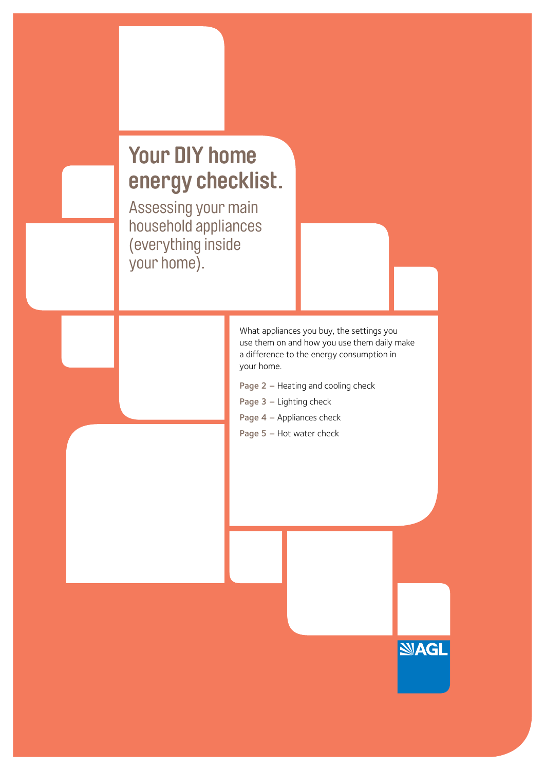# **Your DIY home energy checklist.**

Assessing your main household appliances (everything inside your home).

> What appliances you buy, the settings you use them on and how you use them daily make a difference to the energy consumption in your home.

> > **NAGL**

- Page 2 Heating and cooling check
- Page 3 Lighting check
- Page 4 Appliances check
- Page 5 Hot water check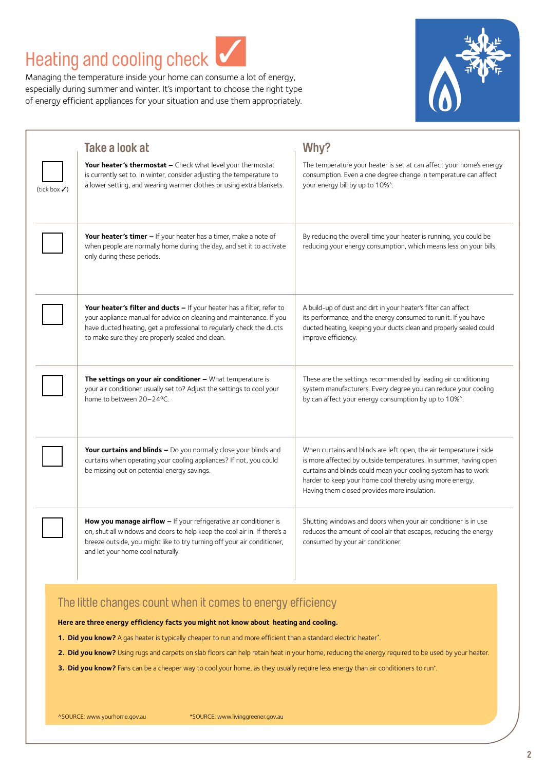### Heating and cooling check

Managing the temperature inside your home can consume a lot of energy, especially during summer and winter. It's important to choose the right type of energy efficient appliances for your situation and use them appropriately.

✓



|                          | Take a look at                                                                                                                                                                                                                                                             | Why?                                                                                                                                                                                                                                                                                                                 |
|--------------------------|----------------------------------------------------------------------------------------------------------------------------------------------------------------------------------------------------------------------------------------------------------------------------|----------------------------------------------------------------------------------------------------------------------------------------------------------------------------------------------------------------------------------------------------------------------------------------------------------------------|
| (tick box $\checkmark$ ) | Your heater's thermostat - Check what level your thermostat<br>is currently set to. In winter, consider adjusting the temperature to<br>a lower setting, and wearing warmer clothes or using extra blankets.                                                               | The temperature your heater is set at can affect your home's energy<br>consumption. Even a one degree change in temperature can affect<br>your energy bill by up to 10%^.                                                                                                                                            |
|                          | <b>Your heater's timer –</b> If your heater has a timer, make a note of<br>when people are normally home during the day, and set it to activate<br>only during these periods.                                                                                              | By reducing the overall time your heater is running, you could be<br>reducing your energy consumption, which means less on your bills.                                                                                                                                                                               |
|                          | Your heater's filter and ducts - If your heater has a filter, refer to<br>your appliance manual for advice on cleaning and maintenance. If you<br>have ducted heating, get a professional to regularly check the ducts<br>to make sure they are properly sealed and clean. | A build-up of dust and dirt in your heater's filter can affect<br>its performance, and the energy consumed to run it. If you have<br>ducted heating, keeping your ducts clean and properly sealed could<br>improve efficiency.                                                                                       |
|                          | The settings on your air conditioner - What temperature is<br>your air conditioner usually set to? Adjust the settings to cool your<br>home to between 20-24°C.                                                                                                            | These are the settings recommended by leading air conditioning<br>system manufacturers. Every degree you can reduce your cooling<br>by can affect your energy consumption by up to 10%^.                                                                                                                             |
|                          | Your curtains and blinds - Do you normally close your blinds and<br>curtains when operating your cooling appliances? If not, you could<br>be missing out on potential energy savings.                                                                                      | When curtains and blinds are left open, the air temperature inside<br>is more affected by outside temperatures. In summer, having open<br>curtains and blinds could mean your cooling system has to work<br>harder to keep your home cool thereby using more energy.<br>Having them closed provides more insulation. |
|                          | How you manage airflow - If your refrigerative air conditioner is<br>on, shut all windows and doors to help keep the cool air in. If there's a<br>breeze outside, you might like to try turning off your air conditioner,<br>and let your home cool naturally.             | Shutting windows and doors when your air conditioner is in use<br>reduces the amount of cool air that escapes, reducing the energy<br>consumed by your air conditioner.                                                                                                                                              |

### The little changes count when it comes to energy efficiency

**Here are three energy efficiency facts you might not know about heating and cooling.** 

- **1. Did you know?** A gas heater is typically cheaper to run and more efficient than a standard electric heater\*.
- **2. Did you know?** Using rugs and carpets on slab floors can help retain heat in your home, reducing the energy required to be used by your heater.
- **3. Did you know?** Fans can be a cheaper way to cool your home, as they usually require less energy than air conditioners to run\*.

^SOURCE: www.yourhome.gov.au \*SOURCE: www.livinggreener.gov.au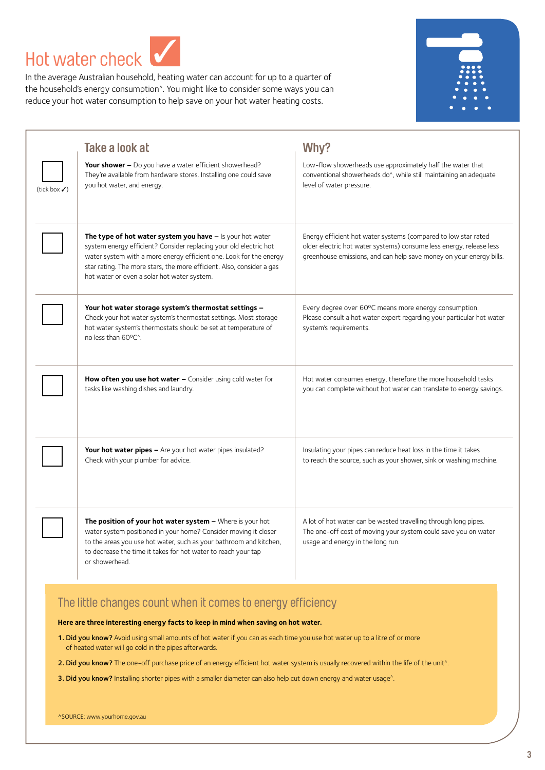Hot water check ✓

In the average Australian household, heating water can account for up to a quarter of the household's energy consumption^. You might like to consider some ways you can reduce your hot water consumption to help save on your hot water heating costs.



|             | Take a look at                                                                                                                                                                                                                                                                                                               | Why?                                                                                                                                                                                                         |
|-------------|------------------------------------------------------------------------------------------------------------------------------------------------------------------------------------------------------------------------------------------------------------------------------------------------------------------------------|--------------------------------------------------------------------------------------------------------------------------------------------------------------------------------------------------------------|
| (tick box√) | Your shower - Do you have a water efficient showerhead?<br>They're available from hardware stores. Installing one could save<br>you hot water, and energy.                                                                                                                                                                   | Low-flow showerheads use approximately half the water that<br>conventional showerheads do <sup>^</sup> , while still maintaining an adequate<br>level of water pressure.                                     |
|             | The type of hot water system you have - Is your hot water<br>system energy efficient? Consider replacing your old electric hot<br>water system with a more energy efficient one. Look for the energy<br>star rating. The more stars, the more efficient. Also, consider a gas<br>hot water or even a solar hot water system. | Energy efficient hot water systems (compared to low star rated<br>older electric hot water systems) consume less energy, release less<br>greenhouse emissions, and can help save money on your energy bills. |
|             | Your hot water storage system's thermostat settings -<br>Check your hot water system's thermostat settings. Most storage<br>hot water system's thermostats should be set at temperature of<br>no less than 60°C <sup>^</sup> .                                                                                               | Every degree over 60°C means more energy consumption.<br>Please consult a hot water expert regarding your particular hot water<br>system's requirements.                                                     |
|             | How often you use hot water - Consider using cold water for<br>tasks like washing dishes and laundry.                                                                                                                                                                                                                        | Hot water consumes energy, therefore the more household tasks<br>you can complete without hot water can translate to energy savings.                                                                         |
|             | Your hot water pipes - Are your hot water pipes insulated?<br>Check with your plumber for advice.                                                                                                                                                                                                                            | Insulating your pipes can reduce heat loss in the time it takes<br>to reach the source, such as your shower, sink or washing machine.                                                                        |
|             | The position of your hot water system - Where is your hot<br>water system positioned in your home? Consider moving it closer<br>to the areas you use hot water, such as your bathroom and kitchen,<br>to decrease the time it takes for hot water to reach your tap<br>or showerhead.                                        | A lot of hot water can be wasted travelling through long pipes.<br>The one-off cost of moving your system could save you on water<br>usage and energy in the long run.                                       |

### The little changes count when it comes to energy efficiency

**Here are three interesting energy facts to keep in mind when saving on hot water.**

- 1. Did you know? Avoid using small amounts of hot water if you can as each time you use hot water up to a litre of or more of heated water will go cold in the pipes afterwards.
- 2. Did you know? The one-off purchase price of an energy efficient hot water system is usually recovered within the life of the unit^.
- 3. Did you know? Installing shorter pipes with a smaller diameter can also help cut down energy and water usage<sup>^</sup>.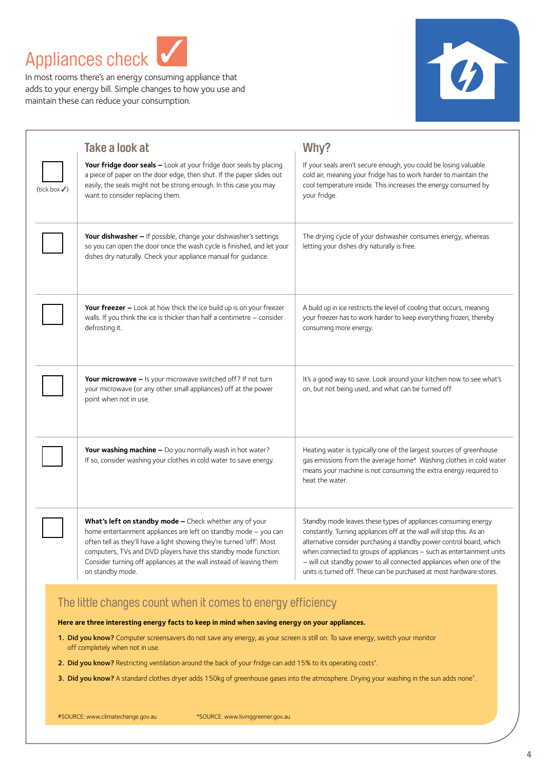Appliances check ✓

In most rooms there's an energy consuming appliance that adds to your energy bill. Simple changes to how you use and maintain these can reduce your consumption.



|                          | Take a look at                                                                                                                                                                                                                                                                                                                                                     | Why?                                                                                                                                                                                                                                                                                                                                                                                                                                   |
|--------------------------|--------------------------------------------------------------------------------------------------------------------------------------------------------------------------------------------------------------------------------------------------------------------------------------------------------------------------------------------------------------------|----------------------------------------------------------------------------------------------------------------------------------------------------------------------------------------------------------------------------------------------------------------------------------------------------------------------------------------------------------------------------------------------------------------------------------------|
| (tick box $\checkmark$ ) | Your fridge door seals - Look at your fridge door seals by placing<br>a piece of paper on the door edge, then shut. If the paper slides out<br>easily, the seals might not be strong enough. In this case you may<br>want to consider replacing them.                                                                                                              | If your seals aren't secure enough, you could be losing valuable<br>cold air, meaning your fridge has to work harder to maintain the<br>cool temperature inside. This increases the energy consumed by<br>your fridge.                                                                                                                                                                                                                 |
|                          | Your dishwasher - If possible, change your dishwasher's settings<br>so you can open the door once the wash cycle is finished, and let your<br>dishes dry naturally. Check your appliance manual for guidance.                                                                                                                                                      | The drying cycle of your dishwasher consumes energy, whereas<br>letting your dishes dry naturally is free.                                                                                                                                                                                                                                                                                                                             |
|                          | Your freezer - Look at how thick the ice build up is on your freezer<br>walls. If you think the ice is thicker than half a centimetre $-$ consider<br>defrosting it.                                                                                                                                                                                               | A build up in ice restricts the level of cooling that occurs, meaning<br>your freezer has to work harder to keep everything frozen, thereby<br>consuming more energy.                                                                                                                                                                                                                                                                  |
|                          | Your microwave - Is your microwave switched off? If not turn<br>your microwave (or any other small appliances) off at the power<br>point when not in use.                                                                                                                                                                                                          | It's a good way to save. Look around your kitchen now to see what's<br>on, but not being used, and what can be turned off.                                                                                                                                                                                                                                                                                                             |
|                          | Your washing machine - Do you normally wash in hot water?<br>If so, consider washing your clothes in cold water to save energy.                                                                                                                                                                                                                                    | Heating water is typically one of the largest sources of greenhouse<br>gas emissions from the average home#. Washing clothes in cold water<br>means your machine is not consuming the extra energy required to<br>heat the water.                                                                                                                                                                                                      |
|                          | What's left on standby mode - Check whether any of your<br>home entertainment appliances are left on standby mode - you can<br>often tell as they'll have a light showing they're turned 'off'. Most<br>computers, TVs and DVD players have this standby mode function.<br>Consider turning off appliances at the wall instead of leaving them<br>on standby mode. | Standby mode leaves these types of appliances consuming energy<br>constantly. Turning appliances off at the wall will stop this. As an<br>alternative consider purchasing a standby power control board, which<br>when connected to groups of appliances - such as entertainment units<br>- will cut standby power to all connected appliances when one of the<br>units is turned off. These can be purchased at most hardware stores. |

### The little changes count when it comes to energy efficiency

**Here are three interesting energy facts to keep in mind when saving energy on your appliances.** 

- 1. Did you know? Computer screensavers do not save any energy, as your screen is still on. To save energy, switch your monitor off completely when not in use.
- 2. Did you know? Restricting ventilation around the back of your fridge can add 15% to its operating costs\*.
- 3. Did you know? A standard clothes dryer adds 150kg of greenhouse gases into the atmosphere. Drying your washing in the sun adds none\*.

#SOURCE: www.climatechange.gov.au \*SOURCE: www.livinggreener.gov.au